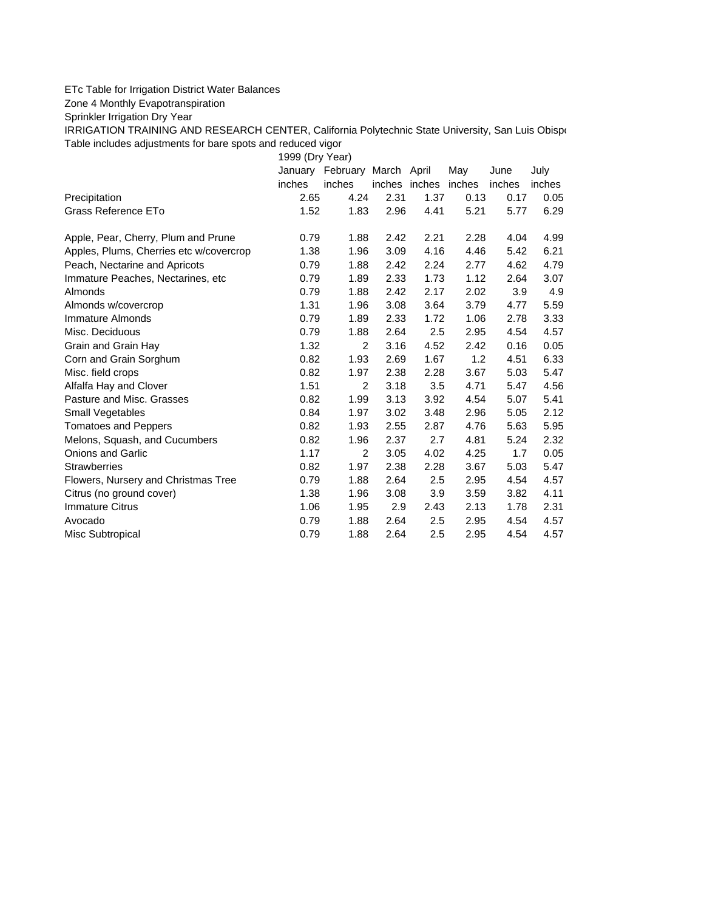## ETc Table for Irrigation District Water Balances

Zone 4 Monthly Evapotranspiration

Sprinkler Irrigation Dry Year

IRRIGATION TRAINING AND RESEARCH CENTER, California Polytechnic State University, San Luis Obispo Table includes adjustments for bare spots and reduced vigor

1999 (Dry Year)

|                                         | January | February       | March April   |      | May    | June   | July   |
|-----------------------------------------|---------|----------------|---------------|------|--------|--------|--------|
|                                         | inches  | inches         | inches inches |      | inches | inches | inches |
| Precipitation                           | 2.65    | 4.24           | 2.31          | 1.37 | 0.13   | 0.17   | 0.05   |
| Grass Reference ETo                     | 1.52    | 1.83           | 2.96          | 4.41 | 5.21   | 5.77   | 6.29   |
| Apple, Pear, Cherry, Plum and Prune     | 0.79    | 1.88           | 2.42          | 2.21 | 2.28   | 4.04   | 4.99   |
| Apples, Plums, Cherries etc w/covercrop | 1.38    | 1.96           | 3.09          | 4.16 | 4.46   | 5.42   | 6.21   |
| Peach, Nectarine and Apricots           | 0.79    | 1.88           | 2.42          | 2.24 | 2.77   | 4.62   | 4.79   |
| Immature Peaches, Nectarines, etc.      | 0.79    | 1.89           | 2.33          | 1.73 | 1.12   | 2.64   | 3.07   |
| Almonds                                 | 0.79    | 1.88           | 2.42          | 2.17 | 2.02   | 3.9    | 4.9    |
| Almonds w/covercrop                     | 1.31    | 1.96           | 3.08          | 3.64 | 3.79   | 4.77   | 5.59   |
| Immature Almonds                        | 0.79    | 1.89           | 2.33          | 1.72 | 1.06   | 2.78   | 3.33   |
| Misc. Deciduous                         | 0.79    | 1.88           | 2.64          | 2.5  | 2.95   | 4.54   | 4.57   |
| Grain and Grain Hay                     | 1.32    | $\overline{2}$ | 3.16          | 4.52 | 2.42   | 0.16   | 0.05   |
| Corn and Grain Sorghum                  | 0.82    | 1.93           | 2.69          | 1.67 | 1.2    | 4.51   | 6.33   |
| Misc. field crops                       | 0.82    | 1.97           | 2.38          | 2.28 | 3.67   | 5.03   | 5.47   |
| Alfalfa Hay and Clover                  | 1.51    | 2              | 3.18          | 3.5  | 4.71   | 5.47   | 4.56   |
| Pasture and Misc. Grasses               | 0.82    | 1.99           | 3.13          | 3.92 | 4.54   | 5.07   | 5.41   |
| Small Vegetables                        | 0.84    | 1.97           | 3.02          | 3.48 | 2.96   | 5.05   | 2.12   |
| <b>Tomatoes and Peppers</b>             | 0.82    | 1.93           | 2.55          | 2.87 | 4.76   | 5.63   | 5.95   |
| Melons, Squash, and Cucumbers           | 0.82    | 1.96           | 2.37          | 2.7  | 4.81   | 5.24   | 2.32   |
| <b>Onions and Garlic</b>                | 1.17    | 2              | 3.05          | 4.02 | 4.25   | 1.7    | 0.05   |
| <b>Strawberries</b>                     | 0.82    | 1.97           | 2.38          | 2.28 | 3.67   | 5.03   | 5.47   |
| Flowers, Nursery and Christmas Tree     | 0.79    | 1.88           | 2.64          | 2.5  | 2.95   | 4.54   | 4.57   |
| Citrus (no ground cover)                | 1.38    | 1.96           | 3.08          | 3.9  | 3.59   | 3.82   | 4.11   |
| <b>Immature Citrus</b>                  | 1.06    | 1.95           | 2.9           | 2.43 | 2.13   | 1.78   | 2.31   |
| Avocado                                 | 0.79    | 1.88           | 2.64          | 2.5  | 2.95   | 4.54   | 4.57   |
| Misc Subtropical                        | 0.79    | 1.88           | 2.64          | 2.5  | 2.95   | 4.54   | 4.57   |